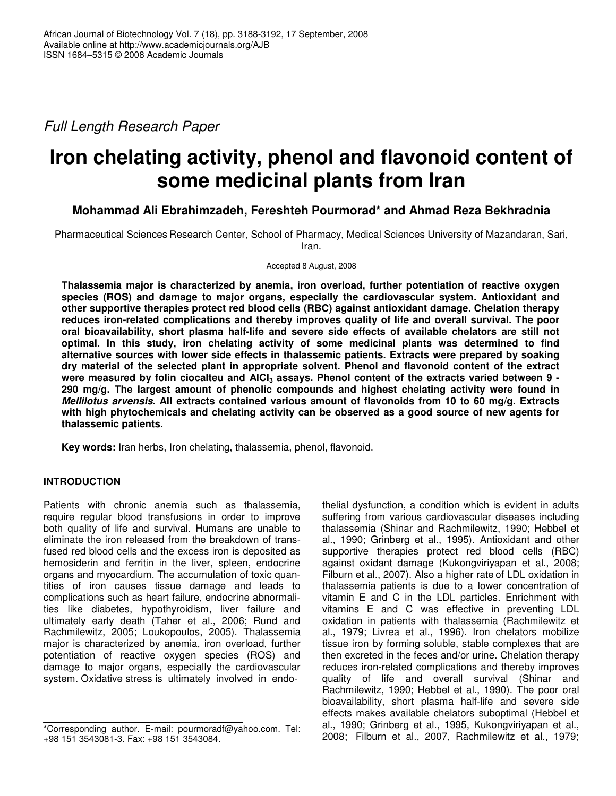*Full Length Research Paper*

# **Iron chelating activity, phenol and flavonoid content of some medicinal plants from Iran**

# **Mohammad Ali Ebrahimzadeh, Fereshteh Pourmorad\* and Ahmad Reza Bekhradnia**

Pharmaceutical Sciences Research Center, School of Pharmacy, Medical Sciences University of Mazandaran, Sari, Iran.

Accepted 8 August, 2008

**Thalassemia major is characterized by anemia, iron overload, further potentiation of reactive oxygen species (ROS) and damage to major organs, especially the cardiovascular system. Antioxidant and other supportive therapies protect red blood cells (RBC) against antioxidant damage. Chelation therapy reduces iron-related complications and thereby improves quality of life and overall survival. The poor oral bioavailability, short plasma half-life and severe side effects of available chelators are still not optimal. In this study, iron chelating activity of some medicinal plants was determined to find alternative sources with lower side effects in thalassemic patients. Extracts were prepared by soaking dry material of the selected plant in appropriate solvent. Phenol and flavonoid content of the extract** were measured by folin ciocalteu and AICI<sub>3</sub> assays. Phenol content of the extracts varied between 9 -**290 mg/g. The largest amount of phenolic compounds and highest chelating activity were found in** *Mellilotus arvensis***. All extracts contained various amount of flavonoids from 10 to 60 mg/g. Extracts with high phytochemicals and chelating activity can be observed as a good source of new agents for thalassemic patients.**

**Key words:** Iran herbs, Iron chelating, thalassemia, phenol, flavonoid.

# **INTRODUCTION**

Patients with chronic anemia such as thalassemia, require regular blood transfusions in order to improve both quality of life and survival. Humans are unable to eliminate the iron released from the breakdown of transfused red blood cells and the excess iron is deposited as hemosiderin and ferritin in the liver, spleen, endocrine organs and myocardium. The accumulation of toxic quantities of iron causes tissue damage and leads to complications such as heart failure, endocrine abnormalities like diabetes, hypothyroidism, liver failure and ultimately early death (Taher et al., 2006; Rund and Rachmilewitz, 2005; Loukopoulos, 2005). Thalassemia major is characterized by anemia, iron overload, further potentiation of reactive oxygen species (ROS) and damage to major organs, especially the cardiovascular system. Oxidative stress is ultimately involved in endothelial dysfunction, a condition which is evident in adults suffering from various cardiovascular diseases including thalassemia (Shinar and Rachmilewitz, 1990; Hebbel et al., 1990; Grinberg et al., 1995). Antioxidant and other supportive therapies protect red blood cells (RBC) against oxidant damage (Kukongviriyapan et al., 2008; Filburn et al., 2007). Also a higher rate of LDL oxidation in thalassemia patients is due to a lower concentration of vitamin E and C in the LDL particles. Enrichment with vitamins E and C was effective in preventing LDL oxidation in patients with thalassemia (Rachmilewitz et al., 1979; Livrea et al., 1996). Iron chelators mobilize tissue iron by forming soluble, stable complexes that are then excreted in the feces and/or urine. Chelation therapy reduces iron-related complications and thereby improves quality of life and overall survival (Shinar and Rachmilewitz, 1990; Hebbel et al., 1990). The poor oral bioavailability, short plasma half-life and severe side effects makes available chelators suboptimal (Hebbel et al., 1990; Grinberg et al., 1995, Kukongviriyapan et al., 2008; Filburn et al., 2007, Rachmilewitz et al., 1979;

<sup>\*</sup>Corresponding author. E-mail: pourmoradf@yahoo.com. Tel: +98 151 3543081-3. Fax: +98 151 3543084.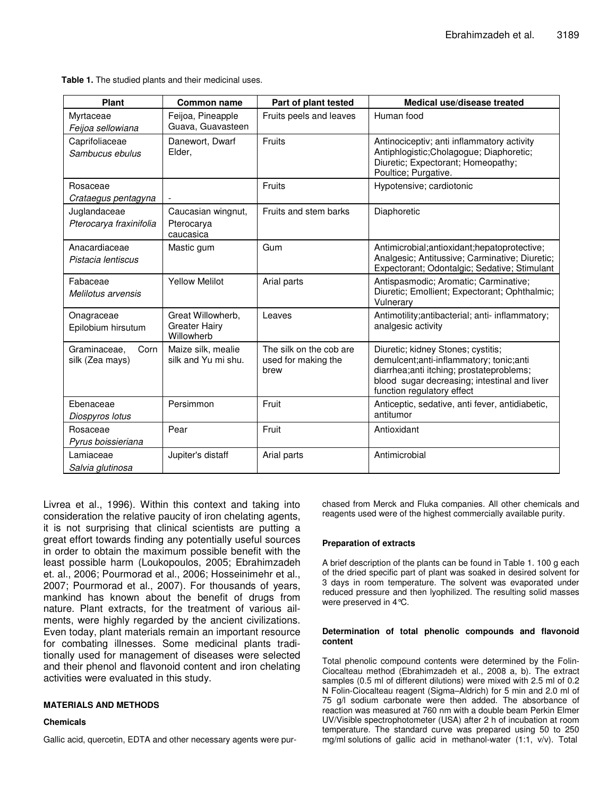**Table 1.** The studied plants and their medicinal uses.

| <b>Plant</b>                            | <b>Common name</b>                                      | Part of plant tested                                   | Medical use/disease treated                                                                                                                                                                              |
|-----------------------------------------|---------------------------------------------------------|--------------------------------------------------------|----------------------------------------------------------------------------------------------------------------------------------------------------------------------------------------------------------|
| Myrtaceae<br>Feijoa sellowiana          | Feijoa, Pineapple<br>Guava, Guavasteen                  | Fruits peels and leaves                                | Human food                                                                                                                                                                                               |
| Caprifoliaceae<br>Sambucus ebulus       | Danewort, Dwarf<br>Elder.                               | Fruits                                                 | Antinociceptiv; anti inflammatory activity<br>Antiphlogistic; Cholagogue; Diaphoretic;<br>Diuretic; Expectorant; Homeopathy;<br>Poultice; Purgative.                                                     |
| Rosaceae<br>Crataegus pentagyna         |                                                         | Fruits                                                 | Hypotensive; cardiotonic                                                                                                                                                                                 |
| Juglandaceae<br>Pterocarya fraxinifolia | Caucasian wingnut,<br>Pterocarya<br>caucasica           | Fruits and stem barks                                  | Diaphoretic                                                                                                                                                                                              |
| Anacardiaceae<br>Pistacia lentiscus     | Mastic gum                                              | Gum                                                    | Antimicrobial; antioxidant; hepatoprotective;<br>Analgesic; Antitussive; Carminative; Diuretic;<br>Expectorant; Odontalgic; Sedative; Stimulant                                                          |
| Fabaceae<br>Melilotus arvensis          | <b>Yellow Melilot</b>                                   | Arial parts                                            | Antispasmodic; Aromatic; Carminative;<br>Diuretic; Emollient; Expectorant; Ophthalmic;<br>Vulnerary                                                                                                      |
| Onagraceae<br>Epilobium hirsutum        | Great Willowherb,<br><b>Greater Hairy</b><br>Willowherb | Leaves                                                 | Antimotility; antibacterial; anti- inflammatory;<br>analgesic activity                                                                                                                                   |
| Graminaceae,<br>Corn<br>silk (Zea mays) | Maize silk, mealie<br>silk and Yu mi shu.               | The silk on the cob are<br>used for making the<br>brew | Diuretic; kidney Stones; cystitis;<br>demulcent;anti-inflammatory; tonic;anti<br>diarrhea; anti itching; prostateproblems;<br>blood sugar decreasing; intestinal and liver<br>function regulatory effect |
| Ebenaceae<br>Diospyros lotus            | Persimmon                                               | Fruit                                                  | Anticeptic, sedative, anti fever, antidiabetic,<br>antitumor                                                                                                                                             |
| Rosaceae<br>Pyrus boissieriana          | Pear                                                    | Fruit                                                  | Antioxidant                                                                                                                                                                                              |
| Lamiaceae<br>Salvia glutinosa           | Jupiter's distaff                                       | Arial parts                                            | Antimicrobial                                                                                                                                                                                            |

Livrea et al., 1996). Within this context and taking into consideration the relative paucity of iron chelating agents, it is not surprising that clinical scientists are putting a great effort towards finding any potentially useful sources in order to obtain the maximum possible benefit with the least possible harm (Loukopoulos, 2005; Ebrahimzadeh et. al., 2006; Pourmorad et al., 2006; Hosseinimehr et al., 2007; Pourmorad et al., 2007). For thousands of years, mankind has known about the benefit of drugs from nature. Plant extracts, for the treatment of various ailments, were highly regarded by the ancient civilizations. Even today, plant materials remain an important resource for combating illnesses. Some medicinal plants traditionally used for management of diseases were selected and their phenol and flavonoid content and iron chelating activities were evaluated in this study.

#### **MATERIALS AND METHODS**

#### **Chemicals**

Gallic acid, quercetin, EDTA and other necessary agents were pur-

chased from Merck and Fluka companies. All other chemicals and reagents used were of the highest commercially available purity.

#### **Preparation of extracts**

A brief description of the plants can be found in Table 1. 100 g each of the dried specific part of plant was soaked in desired solvent for 3 days in room temperature. The solvent was evaporated under reduced pressure and then lyophilized. The resulting solid masses were preserved in 4°C.

#### **Determination of total phenolic compounds and flavonoid content**

Total phenolic compound contents were determined by the Folin-Ciocalteau method (Ebrahimzadeh et al., 2008 a, b). The extract samples (0.5 ml of different dilutions) were mixed with 2.5 ml of 0.2 N Folin-Ciocalteau reagent (Sigma–Aldrich) for 5 min and 2.0 ml of 75 g/l sodium carbonate were then added. The absorbance of reaction was measured at 760 nm with a double beam Perkin Elmer UV/Visible spectrophotometer (USA) after 2 h of incubation at room temperature. The standard curve was prepared using 50 to 250 mg/ml solutions of gallic acid in methanol-water (1:1, v/v). Total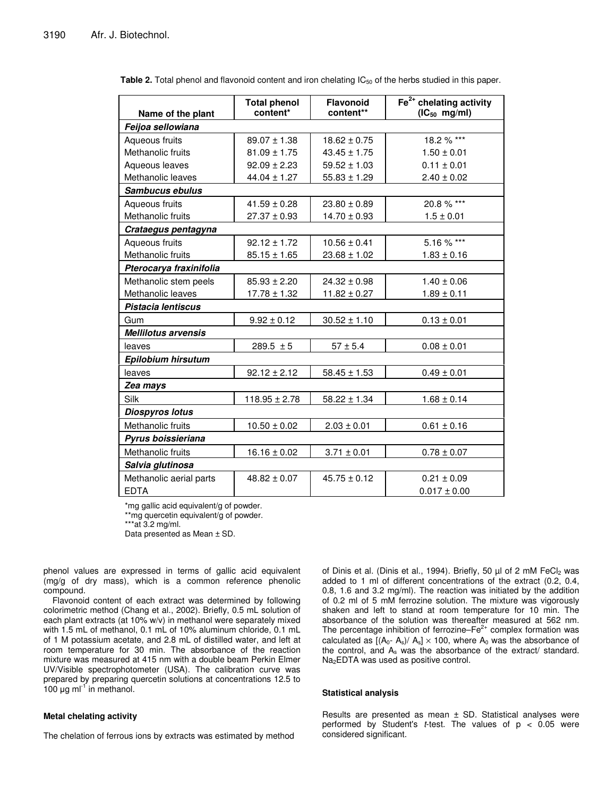|                            | <b>Total phenol</b> | <b>Flavonoid</b> | $Fe2+$ chelating activity |  |  |  |
|----------------------------|---------------------|------------------|---------------------------|--|--|--|
| Name of the plant          | content*            | content**        | $(IC_{50}$ mg/ml)         |  |  |  |
| Feijoa sellowiana          |                     |                  |                           |  |  |  |
| Aqueous fruits             | $89.07 \pm 1.38$    | $18.62 \pm 0.75$ | 18.2 % ***                |  |  |  |
| Methanolic fruits          | $81.09 \pm 1.75$    | $43.45 \pm 1.75$ | $1.50 \pm 0.01$           |  |  |  |
| Aqueous leaves             | $92.09 \pm 2.23$    | $59.52 \pm 1.03$ | $0.11 \pm 0.01$           |  |  |  |
| Methanolic leaves          | $44.04 \pm 1.27$    | $55.83 \pm 1.29$ | $2.40 \pm 0.02$           |  |  |  |
| Sambucus ebulus            |                     |                  |                           |  |  |  |
| Aqueous fruits             | $41.59 \pm 0.28$    | $23.80 \pm 0.89$ | 20.8 % ***                |  |  |  |
| Methanolic fruits          | $27.37 \pm 0.93$    | $14.70 \pm 0.93$ | $1.5 \pm 0.01$            |  |  |  |
| Crataegus pentagyna        |                     |                  |                           |  |  |  |
| Aqueous fruits             | $92.12 \pm 1.72$    | $10.56 \pm 0.41$ | 5.16 % ***                |  |  |  |
| Methanolic fruits          | $85.15 \pm 1.65$    | $23.68 \pm 1.02$ | $1.83 \pm 0.16$           |  |  |  |
| Pterocarya fraxinifolia    |                     |                  |                           |  |  |  |
| Methanolic stem peels      | $85.93 \pm 2.20$    | $24.32 \pm 0.98$ | $1.40 \pm 0.06$           |  |  |  |
| Methanolic leaves          | $17.78 \pm 1.32$    | $11.82 \pm 0.27$ | $1.89 \pm 0.11$           |  |  |  |
| Pistacia lentiscus         |                     |                  |                           |  |  |  |
| Gum                        | $9.92 \pm 0.12$     | $30.52 \pm 1.10$ | $0.13 \pm 0.01$           |  |  |  |
| <b>Mellilotus arvensis</b> |                     |                  |                           |  |  |  |
| leaves                     | $289.5 \pm 5$       | $57 \pm 5.4$     | $0.08 \pm 0.01$           |  |  |  |
| <b>Epilobium hirsutum</b>  |                     |                  |                           |  |  |  |
| leaves                     | $92.12 \pm 2.12$    | $58.45 \pm 1.53$ | $0.49 \pm 0.01$           |  |  |  |
| Zea mays                   |                     |                  |                           |  |  |  |
| Silk                       | $118.95 \pm 2.78$   | $58.22 \pm 1.34$ | $1.68 \pm 0.14$           |  |  |  |
| <b>Diospyros lotus</b>     |                     |                  |                           |  |  |  |
| Methanolic fruits          | $10.50 \pm 0.02$    | $2.03 \pm 0.01$  | $0.61 \pm 0.16$           |  |  |  |
| Pyrus boissieriana         |                     |                  |                           |  |  |  |
| Methanolic fruits          | $16.16 \pm 0.02$    | $3.71 \pm 0.01$  | $0.78 \pm 0.07$           |  |  |  |
| Salvia glutinosa           |                     |                  |                           |  |  |  |
| Methanolic aerial parts    | $48.82 \pm 0.07$    | $45.75 \pm 0.12$ | $0.21 \pm 0.09$           |  |  |  |
| <b>EDTA</b>                |                     |                  | $0.017 \pm 0.00$          |  |  |  |

**Table 2.** Total phenol and flavonoid content and iron chelating IC<sub>50</sub> of the herbs studied in this paper.

\*mg gallic acid equivalent/g of powder.

\*\*mg quercetin equivalent/g of powder.

\*\*\*at 3.2 mg/ml.

Data presented as Mean ± SD.

phenol values are expressed in terms of gallic acid equivalent (mg/g of dry mass), which is a common reference phenolic compound.

Flavonoid content of each extract was determined by following colorimetric method (Chang et al., 2002). Briefly, 0.5 mL solution of each plant extracts (at 10% w/v) in methanol were separately mixed with 1.5 mL of methanol, 0.1 mL of 10% aluminum chloride, 0.1 mL of 1 M potassium acetate, and 2.8 mL of distilled water, and left at room temperature for 30 min. The absorbance of the reaction mixture was measured at 415 nm with a double beam Perkin Elmer UV/Visible spectrophotometer (USA). The calibration curve was prepared by preparing quercetin solutions at concentrations 12.5 to 100  $\mu$ g ml<sup>-1</sup> in methanol.

#### **Metal chelating activity**

The chelation of ferrous ions by extracts was estimated by method

of Dinis et al. (Dinis et al., 1994). Briefly, 50  $\mu$ l of 2 mM FeCl<sub>2</sub> was added to 1 ml of different concentrations of the extract (0.2, 0.4, 0.8, 1.6 and 3.2 mg/ml). The reaction was initiated by the addition of 0.2 ml of 5 mM ferrozine solution. The mixture was vigorously shaken and left to stand at room temperature for 10 min. The absorbance of the solution was thereafter measured at 562 nm. The percentage inhibition of ferrozine– $Fe<sup>2+</sup>$  complex formation was calculated as  $[(A_0 - A_s)/ A_s] \times 100$ , where  $A_0$  was the absorbance of the control, and  $A_s$  was the absorbance of the extract/ standard. Na<sub>2</sub>EDTA was used as positive control.

## **Statistical analysis**

Results are presented as mean  $\pm$  SD. Statistical analyses were performed by Student's *t*-test. The values of p < 0.05 were considered significant.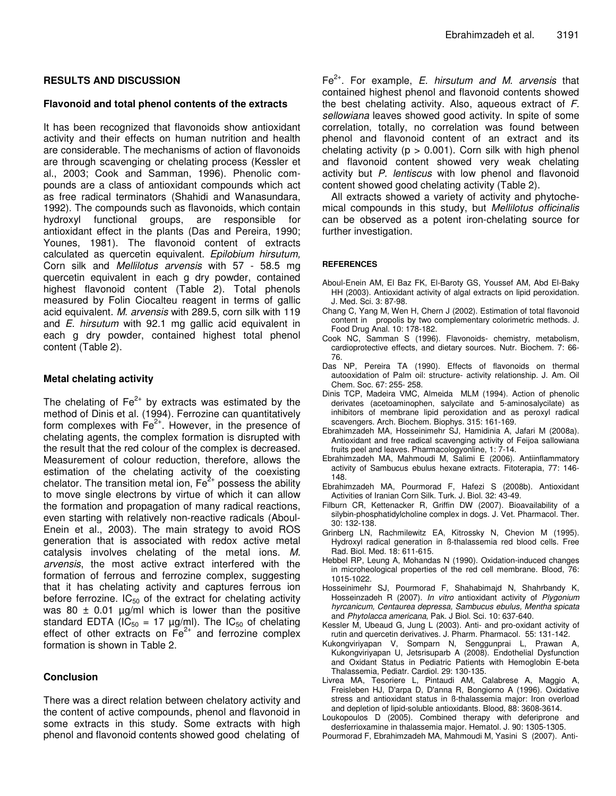# **RESULTS AND DISCUSSION**

# **Flavonoid and total phenol contents of the extracts**

It has been recognized that flavonoids show antioxidant activity and their effects on human nutrition and health are considerable. The mechanisms of action of flavonoids are through scavenging or chelating process (Kessler et al., 2003; Cook and Samman, 1996). Phenolic compounds are a class of antioxidant compounds which act as free radical terminators (Shahidi and Wanasundara, 1992). The compounds such as flavonoids, which contain hydroxyl functional groups, are responsible for antioxidant effect in the plants (Das and Pereira, 1990; Younes, 1981). The flavonoid content of extracts calculated as quercetin equivalent. *Epilobium hirsutum,* Corn silk and *Mellilotus arvensis* with 57 - 58.5 mg quercetin equivalent in each g dry powder, contained highest flavonoid content (Table 2). Total phenols measured by Folin Ciocalteu reagent in terms of gallic acid equivalent. *M. arvensis* with 289.5, corn silk with 119 and *E. hirsutum* with 92.1 mg gallic acid equivalent in each g dry powder, contained highest total phenol content (Table 2).

## **Metal chelating activity**

The chelating of  $\textsf{Fe}^{2+}$  by extracts was estimated by the method of Dinis et al. (1994). Ferrozine can quantitatively form complexes with Fe<sup>2+</sup>. However, in the presence of chelating agents, the complex formation is disrupted with the result that the red colour of the complex is decreased. Measurement of colour reduction, therefore, allows the estimation of the chelating activity of the coexisting chelator. The transition metal ion,  $\mathsf{Fe}^{2+}$  possess the ability to move single electrons by virtue of which it can allow the formation and propagation of many radical reactions, even starting with relatively non-reactive radicals (Aboul-Enein et al., 2003). The main strategy to avoid ROS generation that is associated with redox active metal catalysis involves chelating of the metal ions. *M. arvensis*, the most active extract interfered with the formation of ferrous and ferrozine complex, suggesting that it has chelating activity and captures ferrous ion before ferrozine.  $IC_{50}$  of the extract for chelating activity was 80  $\pm$  0.01  $\mu$ g/ml which is lower than the positive standard EDTA (IC<sub>50</sub> = 17  $\mu$ g/ml). The IC<sub>50</sub> of chelating effect of other extracts on  $Fe<sup>2+</sup>$  and ferrozine complex formation is shown in Table 2.

# **Conclusion**

There was a direct relation between chelatory activity and the content of active compounds, phenol and flavonoid in some extracts in this study. Some extracts with high phenol and flavonoid contents showed good chelating of

Fe 2+ . For example, *E. hirsutum and M. arvensis* that contained highest phenol and flavonoid contents showed the best chelating activity. Also, aqueous extract of *F. sellowiana* leaves showed good activity. In spite of some correlation, totally, no correlation was found between phenol and flavonoid content of an extract and its chelating activity ( $p > 0.001$ ). Corn silk with high phenol and flavonoid content showed very weak chelating activity but *P. lentiscus* with low phenol and flavonoid content showed good chelating activity (Table 2).

All extracts showed a variety of activity and phytochemical compounds in this study, but *Mellilotus officinalis* can be observed as a potent iron-chelating source for further investigation.

### **REFERENCES**

- Aboul-Enein AM, El Baz FK, El-Baroty GS, Youssef AM, Abd El-Baky HH (2003). Antioxidant activity of algal extracts on lipid peroxidation. J. Med. Sci. 3: 87-98.
- Chang C, Yang M, Wen H, Chern J (2002). Estimation of total flavonoid content in propolis by two complementary colorimetric methods. J. Food Drug Anal. 10: 178-182.
- Cook NC, Samman S (1996). Flavonoids- chemistry, metabolism, cardioprotective effects, and dietary sources. Nutr. Biochem. 7: 66- 76.
- Das NP, Pereira TA (1990). Effects of flavonoids on thermal autooxidation of Palm oil: structure- activity relationship. J. Am. Oil Chem. Soc. 67: 255- 258.
- Dinis TCP, Madeira VMC, Almeida MLM (1994). Action of phenolic derivates (acetoaminophen, salycilate and 5-aminosalycilate) as inhibitors of membrane lipid peroxidation and as peroxyl radical scavengers. Arch. Biochem. Biophys. 315: 161-169.
- Ebrahimzadeh MA, Hosseinimehr SJ, Hamidinia A, Jafari M (2008a). Antioxidant and free radical scavenging activity of Feijoa sallowiana fruits peel and leaves. Pharmacologyonline, 1: 7-14.
- Ebrahimzadeh MA, Mahmoudi M, Salimi E (2006). Antiinflammatory activity of Sambucus ebulus hexane extracts. Fitoterapia, 77: 146- 148.
- Ebrahimzadeh MA, Pourmorad F, Hafezi S (2008b). Antioxidant Activities of Iranian Corn Silk. Turk. J. Biol. 32: 43-49.
- Filburn CR, Kettenacker R, Griffin DW (2007). Bioavailability of a silybin-phosphatidylcholine complex in dogs. J. Vet. Pharmacol. Ther. 30: 132-138.
- Grinberg LN, Rachmilewitz EA, Kitrossky N, Chevion M (1995). Hydroxyl radical generation in ß-thalassemia red blood cells. Free Rad. Biol. Med. 18: 611-615.
- Hebbel RP, Leung A, Mohandas N (1990). Oxidation-induced changes in microheological properties of the red cell membrane. Blood, 76: 1015-1022.
- Hosseinimehr SJ, Pourmorad F, Shahabimajd N, Shahrbandy K, Hosseinzadeh R (2007). *In vitro* antioxidant activity of *Plygonium hyrcanicum, Centaurea depressa, Sambucus ebulus, Mentha spicata* and *Phytolacca americana*, Pak. J Biol. Sci. 10: 637-640.
- Kessler M, Ubeaud G, Jung L (2003). Anti- and pro-oxidant activity of rutin and quercetin derivatives. J. Pharm. Pharmacol. 55: 131-142.
- Kukongviriyapan V, Somparn N, Senggunprai L, Prawan A, Kukongviriyapan U, Jetsrisuparb A (2008). Endothelial Dysfunction and Oxidant Status in Pediatric Patients with Hemoglobin E-beta Thalassemia, Pediatr. Cardiol. 29: 130-135.
- Livrea MA, Tesoriere L, Pintaudi AM, Calabrese A, Maggio A, Freisleben HJ, D'arpa D, D'anna R, Bongiorno A (1996). Oxidative stress and antioxidant status in ß-thalassemia major: Iron overload and depletion of lipid-soluble antioxidants. Blood, 88: 3608-3614.
- Loukopoulos D (2005). Combined therapy with deferiprone and desferrioxamine in thalassemia major. Hematol. J. 90: 1305-1305.
- Pourmorad F, Ebrahimzadeh MA, Mahmoudi M, Yasini S (2007). Anti-